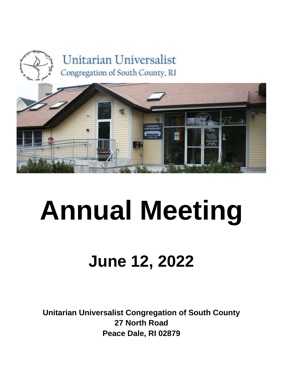



# **Annual Meeting**

# **June 12, 2022**

**Unitarian Universalist Congregation of South County 27 North Road Peace Dale, RI 02879**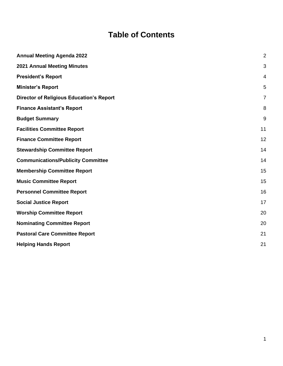# **Table of Contents**

| <b>Annual Meeting Agenda 2022</b>               | $\overline{2}$ |
|-------------------------------------------------|----------------|
| <b>2021 Annual Meeting Minutes</b>              | 3              |
| <b>President's Report</b>                       | 4              |
| <b>Minister's Report</b>                        | 5              |
| <b>Director of Religious Education's Report</b> | 7              |
| <b>Finance Assistant's Report</b>               | 8              |
| <b>Budget Summary</b>                           | 9              |
| <b>Facilities Committee Report</b>              | 11             |
| <b>Finance Committee Report</b>                 | 12             |
| <b>Stewardship Committee Report</b>             | 14             |
| <b>Communications/Publicity Committee</b>       | 14             |
| <b>Membership Committee Report</b>              | 15             |
| <b>Music Committee Report</b>                   | 15             |
| <b>Personnel Committee Report</b>               | 16             |
| <b>Social Justice Report</b>                    | 17             |
| <b>Worship Committee Report</b>                 | 20             |
| <b>Nominating Committee Report</b>              | 20             |
| <b>Pastoral Care Committee Report</b>           | 21             |
| <b>Helping Hands Report</b>                     | 21             |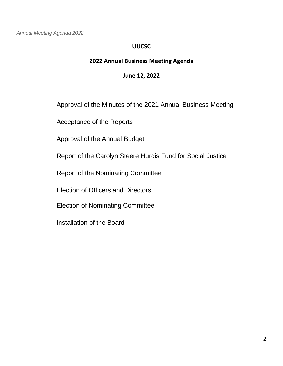<span id="page-2-0"></span>*Annual Meeting Agenda 2022*

#### **UUCSC**

# **2022 Annual Business Meeting Agenda**

#### **June 12, 2022**

Approval of the Minutes of the 2021 Annual Business Meeting

Acceptance of the Reports

Approval of the Annual Budget

Report of the Carolyn Steere Hurdis Fund for Social Justice

Report of the Nominating Committee

Election of Officers and Directors

Election of Nominating Committee

Installation of the Board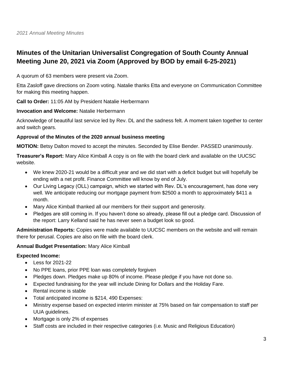# <span id="page-3-0"></span>**Minutes of the Unitarian Universalist Congregation of South County Annual Meeting June 20, 2021 via Zoom (Approved by BOD by email 6-25-2021)**

A quorum of 63 members were present via Zoom.

Etta Zasloff gave directions on Zoom voting. Natalie thanks Etta and everyone on Communication Committee for making this meeting happen.

**Call to Order:** 11:05 AM by President Natalie Herbermann

#### **Invocation and Welcome:** Natalie Herbermann

Acknowledge of beautiful last service led by Rev. DL and the sadness felt. A moment taken together to center and switch gears.

#### **Approval of the Minutes of the 2020 annual business meeting**

**MOTION:** Betsy Dalton moved to accept the minutes. Seconded by Elise Bender. PASSED unanimously.

**Treasurer's Report:** Mary Alice Kimball A copy is on file with the board clerk and available on the UUCSC website.

- We knew 2020-21 would be a difficult year and we did start with a deficit budget but will hopefully be ending with a net profit. Finance Committee will know by end of July.
- Our Living Legacy (OLL) campaign, which we started with Rev. DL's encouragement, has done very well. We anticipate reducing our mortgage payment from \$2500 a month to approximately \$411 a month.
- Mary Alice Kimball thanked all our members for their support and generosity.
- Pledges are still coming in. If you haven't done so already, please fill out a pledge card. Discussion of the report: Larry Kelland said he has never seen a budget look so good.

**Administration Reports:** Copies were made available to UUCSC members on the website and will remain there for perusal. Copies are also on file with the board clerk.

#### **Annual Budget Presentation:** Mary Alice Kimball

#### **Expected Income:**

- Less for 2021-22
- No PPE loans, prior PPE loan was completely forgiven
- Pledges down. Pledges make up 80% of income. Please pledge if you have not done so.
- Expected fundraising for the year will include Dining for Dollars and the Holiday Fare.
- Rental income is stable
- Total anticipated income is \$214, 490 Expenses:
- Ministry expense based on expected interim minister at 75% based on fair compensation to staff per UUA guidelines.
- Mortgage is only 2% of expenses
- Staff costs are included in their respective categories (i.e. Music and Religious Education)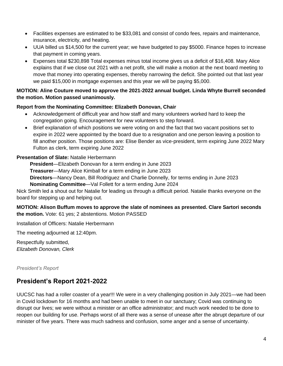- Facilities expenses are estimated to be \$33,081 and consist of condo fees, repairs and maintenance, insurance, electricity, and heating.
- UUA billed us \$14,500 for the current year; we have budgeted to pay \$5000. Finance hopes to increase that payment in coming years.
- Expenses total \$230,898 Total expenses minus total income gives us a deficit of \$16,408. Mary Alice explains that if we close out 2021 with a net profit, she will make a motion at the next board meeting to move that money into operating expenses, thereby narrowing the deficit. She pointed out that last year we paid \$15,000 in mortgage expenses and this year we will be paying \$5,000.

#### **MOTION: Aline Couture moved to approve the 2021-2022 annual budget. Linda Whyte Burrell seconded the motion. Motion passed unanimously.**

#### **Report from the Nominating Committee: Elizabeth Donovan, Chair**

- Acknowledgement of difficult year and how staff and many volunteers worked hard to keep the congregation going. Encouragement for new volunteers to step forward.
- Brief explanation of which positions we were voting on and the fact that two vacant positions set to expire in 2022 were appointed by the board due to a resignation and one person leaving a position to fill another position. Those positions are: Elise Bender as vice-president, term expiring June 2022 Mary Fulton as clerk, term expiring June 2022

#### **Presentation of Slate:** Natalie Herbermann

**President**—Elizabeth Donovan for a term ending in June 2023 **Treasurer**—Mary Alice Kimball for a term ending in June 2023 **Directors**—Nancy Dean, Bill Rodriguez and Charlie Donnelly, for terms ending in June 2023 **Nominating Committee**—Val Follett for a term ending June 2024

Nick Smith led a shout out for Natalie for leading us through a difficult period. Natalie thanks everyone on the board for stepping up and helping out.

**MOTION: Alison Buffum moves to approve the slate of nominees as presented. Clare Sartori seconds the motion.** Vote: 61 yes; 2 abstentions. Motion PASSED

Installation of Officers: Natalie Herbermann

The meeting adjourned at 12:40pm.

Respectfully submitted, *Elizabeth Donovan, Clerk*

<span id="page-4-0"></span>*President's Report*

# **President's Report 2021-2022**

UUCSC has had a roller coaster of a year!!! We were in a very challenging position in July 2021—we had been in Covid lockdown for 16 months and had been unable to meet in our sanctuary; Covid was continuing to disrupt our lives; we were without a minister or an office administrator; and much work needed to be done to reopen our building for use. Perhaps worst of all there was a sense of unease after the abrupt departure of our minister of five years. There was much sadness and confusion, some anger and a sense of uncertainty.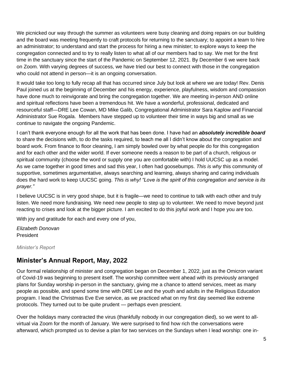We picnicked our way through the summer as volunteers were busy cleaning and doing repairs on our building and the board was meeting frequently to craft protocols for returning to the sanctuary; to appoint a team to hire an administrator; to understand and start the process for hiring a new minister; to explore ways to keep the congregation connected and to try to really listen to what all of our members had to say. We met for the first time in the sanctuary since the start of the Pandemic on September 12, 2021. By December 6 we were back on Zoom. With varying degrees of success, we have tried our best to connect with those in the congregation who could not attend in person—it is an ongoing conversation.

It would take too long to fully recap all that has occurred since July but look at where we are today! Rev. Denis Paul joined us at the beginning of December and his energy, experience, playfulness, wisdom and compassion have done much to reinvigorate and bring the congregation together. We are meeting in-person AND online and spiritual reflections have been a tremendous hit. We have a wonderful, professional, dedicated and resourceful staff—DRE Lee Cowan, MD Mike Galib, Congregational Administrator Sara Kaplow and Financial Administrator Sue Rogala. Members have stepped up to volunteer their time in ways big and small as we continue to navigate the ongoing Pandemic.

I can't thank everyone enough for all the work that has been done. I have had an *absolutely incredible board* to share the decisions with, to do the tasks required, to teach me all I didn't know about the congregation and board work. From finance to floor cleaning, I am simply bowled over by what people do for this congregation and for each other and the wider world. If ever someone needs a reason to be part of a church, religious or spiritual community (choose the word or supply one you are comfortable with) I hold UUCSC up as a model. As we came together in good times and sad this year, I often had goosebumps. *This is why* this community of supportive, sometimes argumentative, always searching and learning, always sharing and caring individuals does the hard work to keep UUCSC going. *This is why! "Love is the spirit of this congregation and service is its prayer."*

I believe UUCSC is in very good shape, but it is fragile—we need to continue to talk with each other and truly listen. We need more fundraising. We need new people to step up to volunteer. We need to move beyond just reacting to crises and look at the bigger picture. I am excited to do this joyful work and I hope you are too.

With joy and gratitude for each and every one of you,

*Elizabeth Donovan* President

<span id="page-5-0"></span>*Minister's Report*

# **Minister's Annual Report, May, 2022**

Our formal relationship of minister and congregation began on December 1, 2022, just as the Omicron variant of Covid-19 was beginning to present itself. The worship committee went ahead with its previously arranged plans for Sunday worship in-person in the sanctuary, giving me a chance to attend services, meet as many people as possible, and spend some time with DRE Lee and the youth and adults in the Religious Education program. I lead the Christmas Eve Eve service, as we practiced what on my first day seemed like extreme protocols. They turned out to be quite prudent — perhaps even prescient.

Over the holidays many contracted the virus (thankfully nobody in our congregation died), so we went to allvirtual via Zoom for the month of January. We were surprised to find how rich the conversations were afterward, which prompted us to devise a plan for two services on the Sundays when I lead worship: one in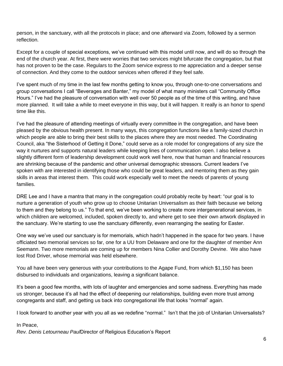person, in the sanctuary, with all the protocols in place; and one afterward via Zoom, followed by a sermon reflection.

Except for a couple of special exceptions, we've continued with this model until now, and will do so through the end of the church year. At first, there were worries that two services might bifurcate the congregation, but that has not proven to be the case. Regulars to the Zoom service express to me appreciation and a deeper sense of connection. And they come to the outdoor services when offered if they feel safe.

I've spent much of my time in the last few months getting to know you, through one-to-one conversations and group conversations I call "Beverages and Banter," my model of what many ministers call "Community Office Hours." I've had the pleasure of conversation with well over 50 people as of the time of this writing, and have more planned. It will take a while to meet everyone in this way, but it will happen. It really is an honor to spend time like this.

I've had the pleasure of attending meetings of virtually every committee in the congregation, and have been pleased by the obvious health present. In many ways, this congregation functions like a family-sized church in which people are able to bring their best skills to the places where they are most needed. The Coordinating Council, aka "the Sisterhood of Getting it Done," could serve as a role model for congregations of any size the way it nurtures and supports natural leaders while keeping lines of communication open. I also believe a slightly different form of leadership development could work well here, now that human and financial resources are shrinking because of the pandemic and other universal demographic stressors. Current leaders I've spoken with are interested in identifying those who could be great leaders, and mentoring them as they gain skills in areas that interest them. This could work especially well to meet the needs of parents of young families.

DRE Lee and I have a mantra that many in the congregation could probably recite by heart: "our goal is to nurture a generation of youth who grow up to choose Unitarian Universalism as their faith because we belong to them and they belong to us." To that end, we've been working to create more intergenerational services, in which children are welcomed, included, spoken directly to, and where get to see their own artwork displayed in the sanctuary. We're starting to use the sanctuary differently, even rearranging the seating for Easter.

One way we've used our sanctuary is for memorials, which hadn't happened in the space for two years. I have officiated two memorial services so far, one for a UU from Delaware and one for the daughter of member Ann Seemann. Two more memorials are coming up for members Nina Collier and Dorothy Devine. We also have lost Rod Driver, whose memorial was held elsewhere.

You all have been very generous with your contributions to the Agape Fund, from which \$1,150 has been disbursed to individuals and organizations, leaving a significant balance.

It's been a good few months, with lots of laughter and emergencies and some sadness. Everything has made us stronger, because it's all had the effect of deepening our relationships, building even more trust among congregants and staff, and getting us back into congregational life that looks "normal" again.

I look forward to another year with you all as we redefine "normal." Isn't that the job of Unitarian Universalists?

#### In Peace,

<span id="page-6-0"></span>*Rev. Denis Letourneau Paul*Director of Religious Education's Report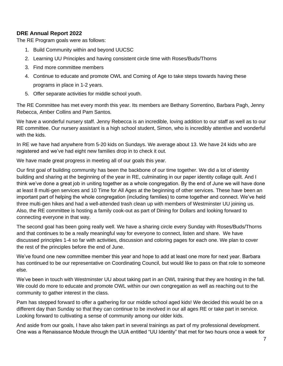#### **DRE Annual Report 2022**

The RE Program goals were as follows:

- 1. Build Community within and beyond UUCSC
- 2. Learning UU Principles and having consistent circle time with Roses/Buds/Thorns
- 3. Find more committee members
- 4. Continue to educate and promote OWL and Coming of Age to take steps towards having these programs in place in 1-2 years.
- 5. Offer separate activities for middle school youth.

The RE Committee has met every month this year. Its members are Bethany Sorrentino, Barbara Pagh, Jenny Rebecca, Amber Collins and Pam Santos.

We have a wonderful nursery staff. Jenny Rebecca is an incredible, loving addition to our staff as well as to our RE committee. Our nursery assistant is a high school student, Simon, who is incredibly attentive and wonderful with the kids.

In RE we have had anywhere from 5-20 kids on Sundays. We average about 13. We have 24 kids who are registered and we've had eight new families drop in to check it out.

We have made great progress in meeting all of our goals this year.

Our first goal of building community has been the backbone of our time together. We did a lot of identity building and sharing at the beginning of the year in RE, culminating in our paper identity collage quilt. And I think we've done a great job in uniting together as a whole congregation. By the end of June we will have done at least 8 multi-gen services and 10 Time for All Ages at the beginning of other services. These have been an important part of helping the whole congregation (including families) to come together and connect. We've held three multi-gen hikes and had a well-attended trash clean up with members of Westminster UU joining us. Also, the RE committee is hosting a family cook-out as part of Dining for Dollars and looking forward to connecting everyone in that way.

The second goal has been going really well. We have a sharing circle every Sunday with Roses/Buds/Thorns and that continues to be a really meaningful way for everyone to connect, listen and share. We have discussed principles 1-4 so far with activities, discussion and coloring pages for each one. We plan to cover the rest of the principles before the end of June.

We've found one new committee member this year and hope to add at least one more for next year. Barbara has continued to be our representative on Coordinating Council, but would like to pass on that role to someone else.

We've been in touch with Westminster UU about taking part in an OWL training that they are hosting in the fall. We could do more to educate and promote OWL within our own congregation as well as reaching out to the community to gather interest in the class.

Pam has stepped forward to offer a gathering for our middle school aged kids! We decided this would be on a different day than Sunday so that they can continue to be involved in our all ages RE or take part in service. Looking forward to cultivating a sense of community among our older kids.

And aside from our goals, I have also taken part in several trainings as part of my professional development. One was a Renaissance Module through the UUA entitled "UU Identity" that met for two hours once a week for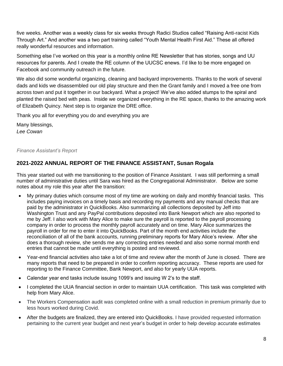five weeks. Another was a weekly class for six weeks through Radici Studios called "Raising Anti-racist Kids Through Art." And another was a two part training called "Youth Mental Health First Aid." These all offered really wonderful resources and information.

Something else I've worked on this year is a monthly online RE Newsletter that has stories, songs and UU resources for parents. And I create the RE column of the UUCSC enews. I'd like to be more engaged on Facebook and community outreach in the future.

We also did some wonderful organizing, cleaning and backyard improvements. Thanks to the work of several dads and kids we disassembled our old play structure and then the Grant family and I moved a free one from across town and put it together in our backyard. What a project! We've also added stumps to the spiral and planted the raised bed with peas. Inside we organized everything in the RE space, thanks to the amazing work of Elizabeth Quincy. Next step is to organize the DRE office.

Thank you all for everything you do and everything you are

Many blessings, *Lee Cowan*

#### *Finance Assistant's Report*

#### **2021-2022 ANNUAL REPORT OF THE FINANCE ASSISTANT, Susan Rogala**

This year started out with me transitioning to the position of Finance Assistant. I was still performing a small number of administrative duties until Sara was hired as the Congregational Administrator. Below are some notes about my role this year after the transition:

- My primary duties which consume most of my time are working on daily and monthly financial tasks. This includes paying invoices on a timely basis and recording my payments and any manual checks that are paid by the administrator in QuickBooks. Also summarizing all collections deposited by Jeff into Washington Trust and any PayPal contributions deposited into Bank Newport which are also reported to me by Jeff. I also work with Mary Alice to make sure the payroll is reported to the payroll processing company in order to process the monthly payroll accurately and on time. Mary Alice summarizes the payroll in order for me to enter it into QuickBooks. Part of the month end activities include the reconciliation of all of the bank accounts, running preliminary reports for Mary Alice's review. After she does a thorough review, she sends me any correcting entries needed and also some normal month end entries that cannot be made until everything is posted and reviewed.
- Year-end financial activities also take a lot of time and review after the month of June is closed. There are many reports that need to be prepared in order to confirm reporting accuracy. These reports are used for reporting to the Finance Committee, Bank Newport, and also for yearly UUA reports.
- Calendar year end tasks include issuing 1099's and issuing W 2's to the staff.
- I completed the UUA financial section in order to maintain UUA certification. This task was completed with help from Mary Alice.
- The Workers Compensation audit was completed online with a small reduction in premium primarily due to less hours worked during Covid.
- After the budgets are finalized, they are entered into QuickBooks. I have provided requested information pertaining to the current year budget and next year's budget in order to help develop accurate estimates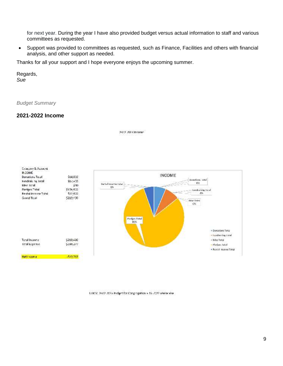for next year. During the year I have also provided budget versus actual information to staff and various committees as requested.

• Support was provided to committees as requested, such as Finance, Facilities and others with financial analysis, and other support as needed.

Thanks for all your support and I hope everyone enjoys the upcoming summer.

<span id="page-9-0"></span>Regards, *Sue*

*Budget Summary* 

#### **2021-2022 Income**

2022-2023 Income



UUCS: 2022-2023 Budget for Congregation 5-16-2022 Violennier.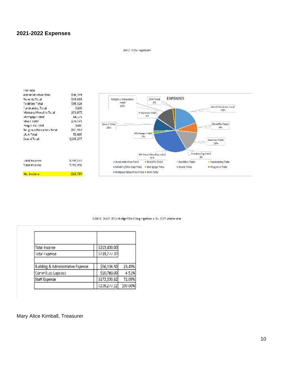#### **2021-2022 Expenses**

#### 2022-2025 - xperises

| - SP-NSE                  |             |      |
|---------------------------|-------------|------|
| Administration Total      | \$46,115    |      |
| Rene its Total            | \$18,033    |      |
| Tacillities Total         | \$35,526    |      |
| Fundraising Total         | 5200        |      |
| - luteTichly/Worship      | \$71,875    |      |
| Viortigage Lotal          | \$4,575     |      |
| Music Lotal               | \$28,241    |      |
| Programs lotal            | <b>SSOC</b> | Muse |
| Beligibus Education Total | \$31,912    | и    |
| JUA Total                 | 55,000      |      |
| Grand Total               | \$23\$,277  |      |
| latal Exacosc             | \$239,277   |      |
| <b>Total Income</b>       | 5219,490    |      |
|                           |             |      |
| Neutroome                 | -\$19,787   |      |
|                           |             |      |



UUCSC 2022-2023 Budget for Congregation 5-16-2022 Welsenber

| Total Income                                 | 5219,400.00  |         |
|----------------------------------------------|--------------|---------|
| <b>Ictal Ixpense</b>                         | 5239,277.32  |         |
| <b>Building &amp; Administrative Expense</b> | \$56,106.50  | 23.45%  |
| Committee Expense                            | \$10,780.00  | 4.51%   |
| <b>Staff Expense</b>                         | 5172,390.62  | 72.05%  |
|                                              | \$239,277.12 | 100 00% |

Mary Alice Kimball, Treasurer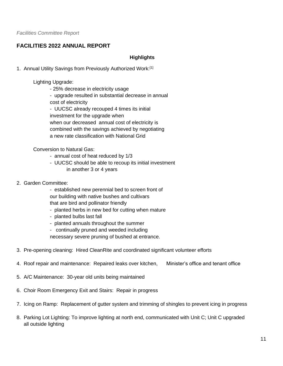#### <span id="page-11-0"></span>**FACILITIES 2022 ANNUAL REPORT**

#### **Highlights**

1. Annual Utility Savings from Previously Authorized Work:[1]

Lighting Upgrade:

- 25% decrease in electricity usage

 - upgrade resulted in substantial decrease in annual cost of electricity

 - UUCSC already recouped 4 times its initial investment for the upgrade when when our decreased annual cost of electricity is combined with the savings achieved by negotiating a new rate classification with National Grid

Conversion to Natural Gas:

- annual cost of heat reduced by 1/3
- UUCSC should be able to recoup its initial investment in another 3 or 4 years
- 2. Garden Committee:
	- established new perennial bed to screen front of our building with native bushes and cultivars that are bird and pollinator friendly
	- planted herbs in new bed for cutting when mature
	- planted bulbs last fall
	- planted annuals throughout the summer
	- continually pruned and weeded including

necessary severe pruning of bushed at entrance.

- 3. Pre-opening cleaning: Hired CleanRite and coordinated significant volunteer efforts
- 4. Roof repair and maintenance: Repaired leaks over kitchen, Minister's office and tenant office
- 5. A/C Maintenance: 30-year old units being maintained
- 6. Choir Room Emergency Exit and Stairs: Repair in progress
- 7. Icing on Ramp: Replacement of gutter system and trimming of shingles to prevent icing in progress
- 8. Parking Lot Lighting: To improve lighting at north end, communicated with Unit C; Unit C upgraded all outside lighting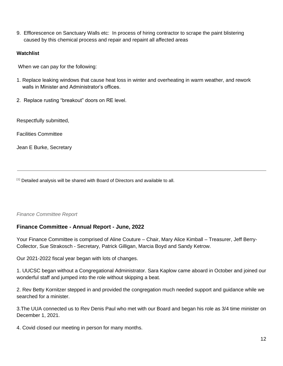9. Efflorescence on Sanctuary Walls etc: In process of hiring contractor to scrape the paint blistering caused by this chemical process and repair and repaint all affected areas

#### **Watchlist**

When we can pay for the following:

- 1. Replace leaking windows that cause heat loss in winter and overheating in warm weather, and rework walls in Minister and Administrator's offices.
- 2. Replace rusting "breakout" doors on RE level.

Respectfully submitted,

Facilities Committee

Jean E Burke, Secretary

[1] Detailed analysis will be shared with Board of Directors and available to all.

#### <span id="page-12-0"></span>*Finance Committee Report*

#### **Finance Committee - Annual Report - June, 2022**

Your Finance Committee is comprised of Aline Couture – Chair, Mary Alice Kimball – Treasurer, Jeff Berry-Collector, Sue Strakosch - Secretary, Patrick Gilligan, Marcia Boyd and Sandy Ketrow.

Our 2021-2022 fiscal year began with lots of changes.

1. UUCSC began without a Congregational Administrator. Sara Kaplow came aboard in October and joined our wonderful staff and jumped into the role without skipping a beat.

2. Rev Betty Kornitzer stepped in and provided the congregation much needed support and guidance while we searched for a minister.

3.The UUA connected us to Rev Denis Paul who met with our Board and began his role as 3/4 time minister on December 1, 2021.

4. Covid closed our meeting in person for many months.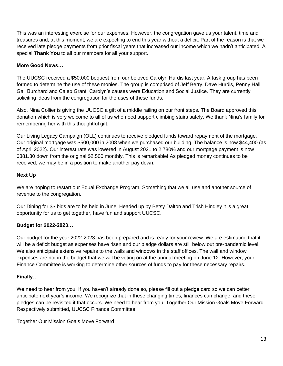This was an interesting exercise for our expenses. However, the congregation gave us your talent, time and treasures and, at this moment, we are expecting to end this year without a deficit. Part of the reason is that we received late pledge payments from prior fiscal years that increased our Income which we hadn't anticipated. A special **Thank You** to all our members for all your support.

#### **More Good News…**

The UUCSC received a \$50,000 bequest from our beloved Carolyn Hurdis last year. A task group has been formed to determine the use of these monies. The group is comprised of Jeff Berry, Dave Hurdis, Penny Hall, Gail Burchard and Caleb Grant. Carolyn's causes were Education and Social Justice. They are currently soliciting ideas from the congregation for the uses of these funds.

Also, Nina Collier is giving the UUCSC a gift of a middle railing on our front steps. The Board approved this donation which is very welcome to all of us who need support climbing stairs safely. We thank Nina's family for remembering her with this thoughtful gift.

Our Living Legacy Campaign (OLL) continues to receive pledged funds toward repayment of the mortgage. Our original mortgage was \$500,000 in 2008 when we purchased our building. The balance is now \$44,400 (as of April 2022). Our interest rate was lowered in August 2021 to 2.780% and our mortgage payment is now \$381.30 down from the original \$2,500 monthly. This is remarkable! As pledged money continues to be received, we may be in a position to make another pay down.

#### **Next Up**

We are hoping to restart our Equal Exchange Program. Something that we all use and another source of revenue to the congregation.

Our Dining for \$\$ bids are to be held in June. Headed up by Betsy Dalton and Trish Hindley it is a great opportunity for us to get together, have fun and support UUCSC.

#### **Budget for 2022-2023…**

Our budget for the year 2022-2023 has been prepared and is ready for your review. We are estimating that it will be a deficit budget as expenses have risen and our pledge dollars are still below out pre-pandemic level. We also anticipate extensive repairs to the walls and windows in the staff offices. The wall and window expenses are not in the budget that we will be voting on at the annual meeting on June 12. However, your Finance Committee is working to determine other sources of funds to pay for these necessary repairs.

#### **Finally…**

We need to hear from you. If you haven't already done so, please fill out a pledge card so we can better anticipate next year's income. We recognize that in these changing times, finances can change, and these pledges can be revisited if that occurs. We need to hear from you. Together Our Mission Goals Move Forward Respectively submitted, UUCSC Finance Committee.

Together Our Mission Goals Move Forward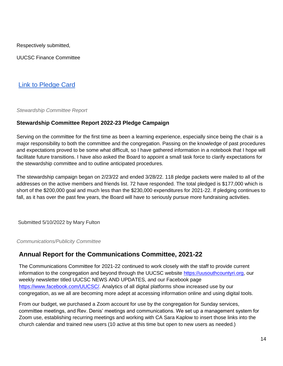Respectively submitted,

UUCSC Finance Committee

# [Link to Pledge Card](https://uusouthcountyri.org/annual-pledge/)

<span id="page-14-0"></span>*Stewardship Committee Report*

#### **Stewardship Committee Report 2022-23 Pledge Campaign**

Serving on the committee for the first time as been a learning experience, especially since being the chair is a major responsibility to both the committee and the congregation. Passing on the knowledge of past procedures and expectations proved to be some what difficult, so I have gathered information in a notebook that I hope will facilitate future transitions. I have also asked the Board to appoint a small task force to clarify expectations for the stewardship committee and to outline anticipated procedures.

The stewardship campaign began on 2/23/22 and ended 3/28/22. 118 pledge packets were mailed to all of the addresses on the active members and friends list. 72 have responded. The total pledged is \$177,000 which is short of the \$200,000 goal and much less than the \$230,000 expenditures for 2021-22. If pledging continues to fall, as it has over the past few years, the Board will have to seriously pursue more fundraising activities.

Submitted 5/10/2022 by Mary Fulton

<span id="page-14-1"></span>*Communications/Publicity Committee*

# **Annual Report for the Communications Committee, 2021-22**

The Communications Committee for 2021-22 continued to work closely with the staff to provide current information to the congregation and beyond through the UUCSC websit[e](https://uusouthcountyri.org/) [https://uusouthcountyri.org,](https://uusouthcountyri.org/) our weekly newsletter titled UUCSC NEWS AND UPDATES, and our Facebook pag[e](https://www.facebook.com/UUCSC/) [https://www.facebook.com/UUCSC/.](https://www.facebook.com/UUCSC/) Analytics of all digital platforms show increased use by our congregation, as we all are becoming more adept at accessing information online and using digital tools.

From our budget, we purchased a Zoom account for use by the congregation for Sunday services, committee meetings, and Rev. Denis' meetings and communications. We set up a management system for Zoom use, establishing recurring meetings and working with CA Sara Kaplow to insert those links into the church calendar and trained new users (10 active at this time but open to new users as needed.)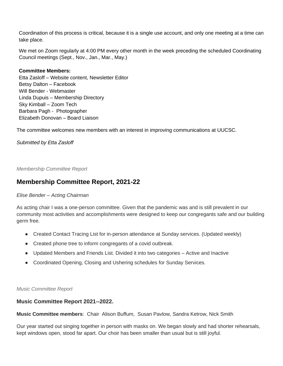Coordination of this process is critical, because it is a single use account, and only one meeting at a time can take place.

We met on Zoom regularly at 4:00 PM every other month in the week preceding the scheduled Coordinating Council meetings (Sept., Nov., Jan., Mar., May.)

#### **Committee Members:**

Etta Zasloff – Website content, Newsletter Editor Betsy Dalton – Facebook Will Bender - Webmaster Linda Dupuis – Membership Directory Sky Kimball – Zoom Tech Barbara Pagh - Photographer Elizabeth Donovan – Board Liaison

The committee welcomes new members with an interest in improving communications at UUCSC.

#### *Submitted by Etta Zasloff*

<span id="page-15-0"></span>*Membership Committee Report*

#### **Membership Committee Report, 2021-22**

#### *Elise Bender – Acting Chairman*

As acting chair I was a one-person committee. Given that the pandemic was and is still prevalent in our community most activities and accomplishments were designed to keep our congregants safe and our building germ free.

- Created Contact Tracing List for in-person attendance at Sunday services. (Updated weekly)
- Created phone tree to inform congregants of a covid outbreak.
- Updated Members and Friends List. Divided it into two categories Active and Inactive
- Coordinated Opening, Closing and Ushering schedules for Sunday Services.

#### <span id="page-15-1"></span>*Music Committee Report*

#### **Music Committee Report 2021--2022.**

**Music Committee members**: Chair Alison Buffum, Susan Pavlow, Sandra Ketrow, Nick Smith

Our year started out singing together in person with masks on. We began slowly and had shorter rehearsals, kept windows open, stood far apart. Our choir has been smaller than usual but is still joyful.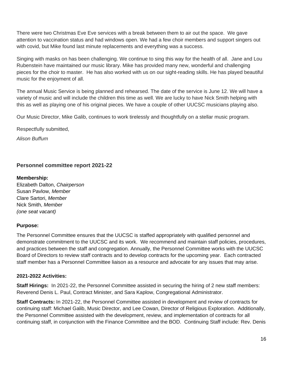There were two Christmas Eve Eve services with a break between them to air out the space. We gave attention to vaccination status and had windows open. We had a few choir members and support singers out with covid, but Mike found last minute replacements and everything was a success.

Singing with masks on has been challenging. We continue to sing this way for the health of all. Jane and Lou Rubenstein have maintained our music library. Mike has provided many new, wonderful and challenging pieces for the choir to master. He has also worked with us on our sight-reading skills. He has played beautiful music for the enjoyment of all.

The annual Music Service is being planned and rehearsed. The date of the service is June 12. We will have a variety of music and will include the children this time as well. We are lucky to have Nick Smith helping with this as well as playing one of his original pieces. We have a couple of other UUCSC musicians playing also.

Our Music Director, Mike Galib, continues to work tirelessly and thoughtfully on a stellar music program.

Respectfully submitted,

*Alison Buffum*

#### **Personnel committee report 2021-22**

#### **Membership:**

Elizabeth Dalton, *Chairperson* Susan Pavlow, *Member* Clare Sartori, *Member* Nick Smith, *Member (one seat vacant)*

#### **Purpose:**

The Personnel Committee ensures that the UUCSC is staffed appropriately with qualified personnel and demonstrate commitment to the UUCSC and its work. We recommend and maintain staff policies, procedures, and practices between the staff and congregation. Annually, the Personnel Committee works with the UUCSC Board of Directors to review staff contracts and to develop contracts for the upcoming year. Each contracted staff member has a Personnel Committee liaison as a resource and advocate for any issues that may arise.

#### **2021-2022 Activities:**

**Staff Hirings:** In 2021-22, the Personnel Committee assisted in securing the hiring of 2 new staff members: Reverend Denis L. Paul, Contract Minister, and Sara Kaplow, Congregational Administrator.

**Staff Contracts:** In 2021-22, the Personnel Committee assisted in development and review of contracts for continuing staff: Michael Galib, Music Director, and Lee Cowan, Director of Religious Exploration. Additionally, the Personnel Committee assisted with the development, review, and implementation of contracts for all continuing staff, in conjunction with the Finance Committee and the BOD. Continuing Staff include: Rev. Denis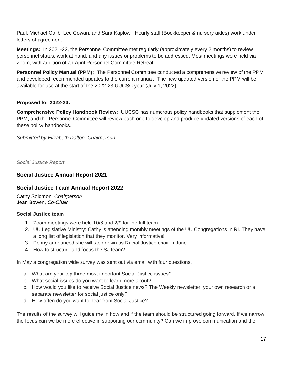Paul, Michael Galib, Lee Cowan, and Sara Kaplow. Hourly staff (Bookkeeper & nursery aides) work under letters of agreement.

**Meetings:** In 2021-22, the Personnel Committee met regularly (approximately every 2 months) to review personnel status, work at hand, and any issues or problems to be addressed. Most meetings were held via Zoom, with addition of an April Personnel Committee Retreat.

**Personnel Policy Manual (PPM):** The Personnel Committee conducted a comprehensive review of the PPM and developed recommended updates to the current manual. The new updated version of the PPM will be available for use at the start of the 2022-23 UUCSC year (July 1, 2022).

#### **Proposed for 2022-23:**

**Comprehensive Policy Handbook Review:** UUCSC has numerous policy handbooks that supplement the PPM, and the Personnel Committee will review each one to develop and produce updated versions of each of these policy handbooks.

*Submitted by Elizabeth Dalton, Chairperson*

<span id="page-17-0"></span>*Social Justice Report*

#### **Social Justice Annual Report 2021**

#### **Social Justice Team Annual Report 2022**

Cathy Solomon, *Chairperson* Jean Bowen, *Co-Chair*

#### **Social Justice team**

- 1. Zoom meetings were held 10/6 and 2/9 for the full team.
- 2. UU Legislative Ministry: Cathy is attending monthly meetings of the UU Congregations in RI. They have a long list of legislation that they monitor. Very informative!
- 3. Penny announced she will step down as Racial Justice chair in June.
- 4. How to structure and focus the SJ team?

In May a congregation wide survey was sent out via email with four questions.

- a. What are your top three most important Social Justice issues?
- b. What social issues do you want to learn more about?
- c. How would you like to receive Social Justice news? The Weekly newsletter, your own research or a separate newsletter for social justice only?
- d. How often do you want to hear from Social Justice?

The results of the survey will guide me in how and if the team should be structured going forward. If we narrow the focus can we be more effective in supporting our community? Can we improve communication and the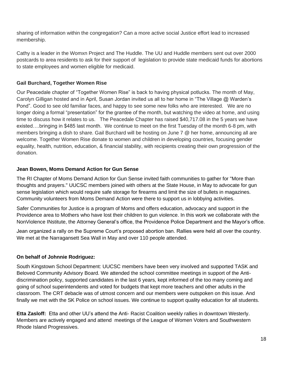sharing of information within the congregation? Can a more active social Justice effort lead to increased membership.

Cathy is a leader in the Womxn Project and The Huddle. The UU and Huddle members sent out over 2000 postcards to area residents to ask for their support of legislation to provide state medicaid funds for abortions to state employees and women eligible for medicaid.

#### **Gail Burchard, Together Women Rise**

Our Peacedale chapter of "Together Women Rise" is back to having physical potlucks. The month of May, Carolyn Gilligan hosted and in April, Susan Jordan invited us all to her home in "The Village @ Warden's Pond". Good to see old familiar faces, and happy to see some new folks who are interested. We are no longer doing a formal "presentation" for the grantee of the month, but watching the video at home, and using time to discuss how it relates to us. The Peacedale Chapter has raised \$40,717.08 in the 5 years we have existed….bringing in \$485 last month. We continue to meet on the first Tuesday of the month 6-8 pm, with members bringing a dish to share. Gail Burchard will be hosting on June 7 @ her home, announcing all are welcome. Together Women Rise donate to women and children in developing countries, focusing gender equality, health, nutrition, education, & financial stability, with recipients creating their own progression of the donation.

#### **Jean Bowen, Moms Demand Action for Gun Sense**

The RI Chapter of Moms Demand Action for Gun Sense invited faith communities to gather for "More than thoughts and prayers." UUCSC members joined with others at the State House, in May to advocate for gun sense legislation which would require safe storage for firearms and limit the size of bullets in magazines. Community volunteers from Moms Demand Action were there to support us in lobbying activities.

Safer Communities for Justice is a program of Moms and offers education, advocacy and support in the Providence area to Mothers who have lost their children to gun violence. In this work we collaborate with the NonViolence INstitute, the Attorney General's office, the Providence Police Department and the Mayor's office.

Jean organized a rally on the Supreme Court's proposed abortion ban. Rallies were held all over the country. We met at the Narragansett Sea Wall in May and over 110 people attended.

#### **On behalf of Johnnie Rodriguez:**

South Kingstown School Department: UUCSC members have been very involved and supported TASK and Beloved Community Advisory Board. We attended the school committee meetings in support of the Antidiscrimination policy, supported candidates in the last 6 years, kept informed of the too many coming and going of school superintendents and voted for budgets that kept more teachers and other adults in the classroom. The CRT debacle was of utmost concern and our members were outspoken on this issue. And finally we met with the SK Police on school issues. We continue to support quality education for all students.

**Etta Zasloff:** Etta and other UU's attend the Anti- Racist Coalition weekly rallies in downtown Westerly. Members are actively engaged and attend meetings of the League of Women Voters and Southwestern Rhode Island Progressives.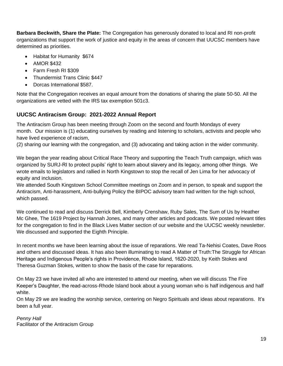**Barbara Beckwith, Share the Plate:** The Congregation has generously donated to local and RI non-profit organizations that support the work of justice and equity in the areas of concern that UUCSC members have determined as priorities.

- Habitat for Humanity \$674
- AMOR \$432
- Farm Fresh RI \$309
- Thundermist Trans Clinic \$447
- Dorcas International \$587.

Note that the Congregation receives an equal amount from the donations of sharing the plate 50-50. All the organizations are vetted with the IRS tax exemption 501c3.

#### **UUCSC Antiracism Group: 2021-2022 Annual Report**

The Antiracism Group has been meeting through Zoom on the second and fourth Mondays of every month. Our mission is (1) educating ourselves by reading and listening to scholars, activists and people who have lived experience of racism,

(2) sharing our learning with the congregation, and (3) advocating and taking action in the wider community.

We began the year reading about Critical Race Theory and supporting the Teach Truth campaign, which was organized by SURJ-RI to protect pupils' right to learn about slavery and its legacy, among other things. We wrote emails to legislators and rallied in North Kingstown to stop the recall of Jen Lima for her advocacy of equity and inclusion.

We attended South Kingstown School Committee meetings on Zoom and in person, to speak and support the Antiracism, Anti-harassment, Anti-bullying Policy the BIPOC advisory team had written for the high school, which passed.

We continued to read and discuss Derrick Bell, Kimberly Crenshaw, Ruby Sales, The Sum of Us by Heather Mc Ghee, The 1619 Project by Hannah Jones, and many other articles and podcasts. We posted relevant titles for the congregation to find in the Black Lives Matter section of our website and the UUCSC weekly newsletter. We discussed and supported the Eighth Principle.

In recent months we have been learning about the issue of reparations. We read Ta-Nehisi Coates, Dave Roos and others and discussed ideas. It has also been illuminating to read A Matter of Truth:The Struggle for African Heritage and Indigenous People's rights in Providence, Rhode Island, 1620-2020, by Keith Stokes and Theresa Guzman Stokes, written to show the basis of the case for reparations.

On May 23 we have invited all who are interested to attend our meeting, when we will discuss The Fire Keeper's Daughter, the read-across-Rhode Island book about a young woman who is half indigenous and half white.

On May 29 we are leading the worship service, centering on Negro Spirituals and ideas about reparations. It's been a full year.

*Penny Hall* Facilitator of the Antiracism Group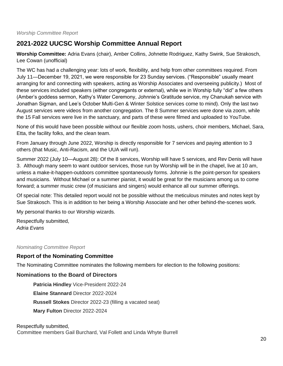# <span id="page-20-1"></span>**2021-2022 UUCSC Worship Committee Annual Report**

**Worship Committee:** Adria Evans (chair), Amber Collins, Johnette Rodriguez, Kathy Swink, Sue Strakosch, Lee Cowan (unofficial)

The WC has had a challenging year: lots of work, flexibility, and help from other committees required. From July 11—December 19, 2021, we were responsible for 23 Sunday services. ("Responsible" usually meant arranging for and connecting with speakers, acting as Worship Associates and overseeing publicity.) Most of these services included speakers (either congregants or external), while we in Worship fully "did" a few others (Amber's goddess sermon, Kathy's Water Ceremony, Johnnie's Gratitude service, my Chanukah service with Jonathan Sigman, and Lee's October Multi-Gen & Winter Solstice services come to mind). Only the last two August services were videos from another congregation. The 8 Summer services were done via zoom, while the 15 Fall services were live in the sanctuary, and parts of these were filmed and uploaded to YouTube.

None of this would have been possible without our flexible zoom hosts, ushers, choir members, Michael, Sara, Etta, the facility folks, and the clean team.

From January through June 2022, Worship is directly responsible for 7 services and paying attention to 3 others (that Music, Anti-Racism, and the UUA will run).

Summer 2022 (July 10—August 28): Of the 8 services, Worship will have 5 services, and Rev Denis will have 3. Although many seem to want outdoor services, those run by Worship will be in the chapel, live at 10 am, unless a make-it-happen-outdoors committee spontaneously forms. Johnnie is the point-person for speakers and musicians. Without Michael or a summer pianist, it would be great for the musicians among us to come forward; a summer music crew (of musicians and singers) would enhance all our summer offerings.

Of special note: This detailed report would not be possible without the meticulous minutes and notes kept by Sue Strakosch. This is in addition to her being a Worship Associate and her other behind-the-scenes work.

My personal thanks to our Worship wizards.

Respectfully submitted, *Adria Evans*

#### <span id="page-20-0"></span>*Nominating Committee Report*

#### **Report of the Nominating Committee**

The Nominating Committee nominates the following members for election to the following positions:

#### **Nominations to the Board of Directors**

**Patricia Hindley** Vice-President 2022-24 **Elaine Stannard** Director 2022-2024 **Russell Stokes** Director 2022-23 (filling a vacated seat) **Mary Fulton** Director 2022-2024

#### Respectfully submitted,

Committee members Gail Burchard, Val Follett and Linda Whyte Burrell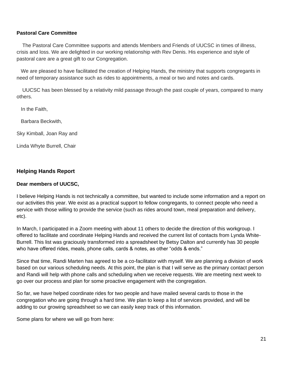#### **Pastoral Care Committee**

 The Pastoral Care Committee supports and attends Members and Friends of UUCSC in times of illness, crisis and loss. We are delighted in our working relationship with Rev Denis. His experience and style of pastoral care are a great gift to our Congregation.

We are pleased to have facilitated the creation of Helping Hands, the ministry that supports congregants in need of temporary assistance such as rides to appointments, a meal or two and notes and cards.

 UUCSC has been blessed by a relativity mild passage through the past couple of years, compared to many others.

In the Faith,

Barbara Beckwith,

Sky Kimball, Joan Ray and

Linda Whyte Burrell, Chair

#### **Helping Hands Report**

#### **Dear members of UUCSC,**

I believe Helping Hands is not technically a committee, but wanted to include some information and a report on our activities this year. We exist as a practical support to fellow congregants, to connect people who need a service with those willing to provide the service (such as rides around town, meal preparation and delivery, etc).

In March, I participated in a Zoom meeting with about 11 others to decide the direction of this workgroup. I offered to facilitate and coordinate Helping Hands and received the current list of contacts from Lynda White-Burrell. This list was graciously transformed into a spreadsheet by Betsy Dalton and currently has 30 people who have offered rides, meals, phone calls, cards & notes, as other "odds & ends."

Since that time, Randi Marten has agreed to be a co-facilitator with myself. We are planning a division of work based on our various scheduling needs. At this point, the plan is that I will serve as the primary contact person and Randi will help with phone calls and scheduling when we receive requests. We are meeting next week to go over our process and plan for some proactive engagement with the congregation.

So far, we have helped coordinate rides for two people and have mailed several cards to those in the congregation who are going through a hard time. We plan to keep a list of services provided, and will be adding to our growing spreadsheet so we can easily keep track of this information.

Some plans for where we will go from here: